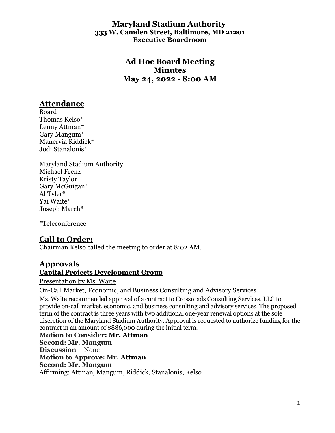#### **Maryland Stadium Authority 333 W. Camden Street, Baltimore, MD 21201 Executive Boardroom**

## **Ad Hoc Board Meeting Minutes May 24, 2022 - 8:00 AM**

# **Attendance**

Board Thomas Kelso\* Lenny Attman\* Gary Mangum\* Manervia Riddick\* Jodi Stanalonis\*

Maryland Stadium Authority Michael Frenz Kristy Taylor Gary McGuigan\* Al Tyler\* Yai Waite\* Joseph March\*

\*Teleconference

# **Call to Order:**

Chairman Kelso called the meeting to order at 8:02 AM.

# **Approvals**

**Capital Projects Development Group**

Presentation by Ms. Waite

On-Call Market, Economic, and Business Consulting and Advisory Services

Ms. Waite recommended approval of a contract to Crossroads Consulting Services, LLC to provide on-call market, economic, and business consulting and advisory services. The proposed term of the contract is three years with two additional one-year renewal options at the sole discretion of the Maryland Stadium Authority. Approval is requested to authorize funding for the contract in an amount of \$886,000 during the initial term.

**Motion to Consider: Mr. Attman Second: Mr. Mangum Discussion –** None **Motion to Approve: Mr. Attman Second: Mr. Mangum** Affirming: Attman, Mangum, Riddick, Stanalonis, Kelso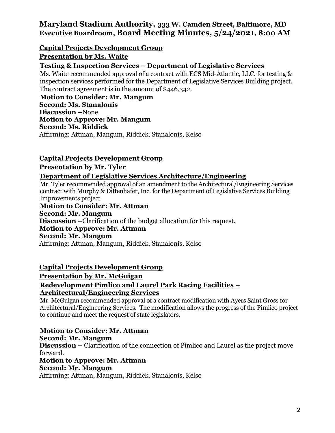## **Maryland Stadium Authority, 333 W. Camden Street, Baltimore, MD Executive Boardroom, Board Meeting Minutes, 5/24/2021, 8:00 AM**

#### **Capital Projects Development Group**

#### **Presentation by Ms. Waite**

#### **Testing & Inspection Services – Department of Legislative Services**

Ms. Waite recommended approval of a contract with ECS Mid-Atlantic, LLC. for testing & inspection services performed for the Department of Legislative Services Building project. The contract agreement is in the amount of \$446,342.

**Motion to Consider: Mr. Mangum Second: Ms. Stanalonis Discussion –**None. **Motion to Approve: Mr. Mangum Second: Ms. Riddick** Affirming: Attman, Mangum, Riddick, Stanalonis, Kelso

#### **Capital Projects Development Group**

#### **Presentation by Mr. Tyler**

#### **Department of Legislative Services Architecture/Engineering**

Mr. Tyler recommended approval of an amendment to the Architectural/Engineering Services contract with Murphy & Dittenhafer, Inc. for the Department of Legislative Services Building Improvements project.

**Motion to Consider: Mr. Attman Second: Mr. Mangum Discussion –**Clarification of the budget allocation for this request. **Motion to Approve: Mr. Attman Second: Mr. Mangum** Affirming: Attman, Mangum, Riddick, Stanalonis, Kelso

#### **Capital Projects Development Group**

**Presentation by Mr. McGuigan**

#### **Redevelopment Pimlico and Laurel Park Racing Facilities – Architectural/Engineering Services**

Mr. McGuigan recommended approval of a contract modification with Ayers Saint Gross for Architectural/Engineering Services. The modification allows the progress of the Pimlico project to continue and meet the request of state legislators.

**Motion to Consider: Mr. Attman Second: Mr. Mangum Discussion –** Clarification of the connection of Pimlico and Laurel as the project move forward. **Motion to Approve: Mr. Attman Second: Mr. Mangum**

Affirming: Attman, Mangum, Riddick, Stanalonis, Kelso